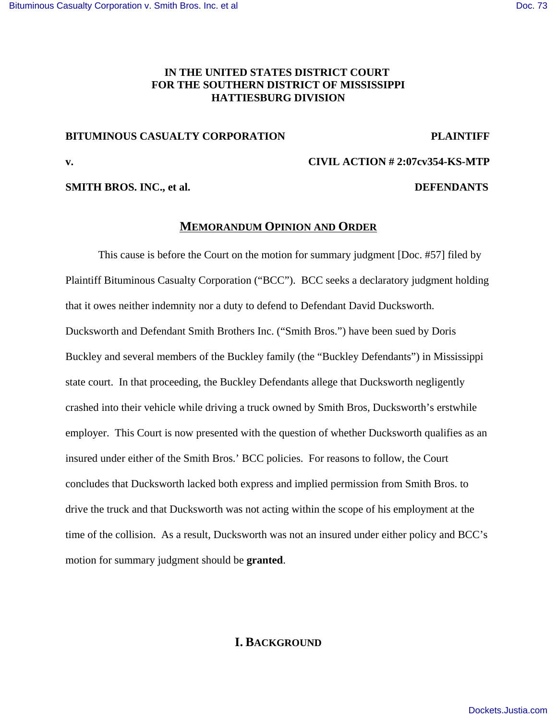# **IN THE UNITED STATES DISTRICT COURT FOR THE SOUTHERN DISTRICT OF MISSISSIPPI HATTIESBURG DIVISION**

## **BITUMINOUS CASUALTY CORPORATION PLAINTIFF**

**v. CIVIL ACTION # 2:07cv354-KS-MTP**

**SMITH BROS. INC., et al. DEFENDANTS**

## **MEMORANDUM OPINION AND ORDER**

This cause is before the Court on the motion for summary judgment [Doc. #57] filed by Plaintiff Bituminous Casualty Corporation ("BCC"). BCC seeks a declaratory judgment holding that it owes neither indemnity nor a duty to defend to Defendant David Ducksworth. Ducksworth and Defendant Smith Brothers Inc. ("Smith Bros.") have been sued by Doris Buckley and several members of the Buckley family (the "Buckley Defendants") in Mississippi state court. In that proceeding, the Buckley Defendants allege that Ducksworth negligently crashed into their vehicle while driving a truck owned by Smith Bros, Ducksworth's erstwhile employer. This Court is now presented with the question of whether Ducksworth qualifies as an insured under either of the Smith Bros.' BCC policies. For reasons to follow, the Court concludes that Ducksworth lacked both express and implied permission from Smith Bros. to drive the truck and that Ducksworth was not acting within the scope of his employment at the time of the collision. As a result, Ducksworth was not an insured under either policy and BCC's motion for summary judgment should be **granted**.

# **I. BACKGROUND**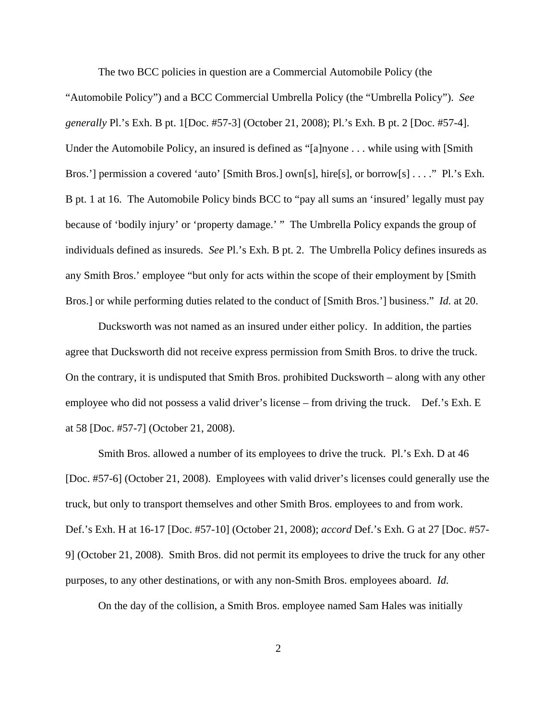The two BCC policies in question are a Commercial Automobile Policy (the "Automobile Policy") and a BCC Commercial Umbrella Policy (the "Umbrella Policy"). *See generally* Pl.'s Exh. B pt. 1[Doc. #57-3] (October 21, 2008); Pl.'s Exh. B pt. 2 [Doc. #57-4]. Under the Automobile Policy, an insured is defined as "[a]nyone . . . while using with [Smith Bros.'] permission a covered 'auto' [Smith Bros.] own[s], hire[s], or borrow[s] . . . ." Pl.'s Exh. B pt. 1 at 16. The Automobile Policy binds BCC to "pay all sums an 'insured' legally must pay because of 'bodily injury' or 'property damage.' " The Umbrella Policy expands the group of individuals defined as insureds. *See* Pl.'s Exh. B pt. 2. The Umbrella Policy defines insureds as any Smith Bros.' employee "but only for acts within the scope of their employment by [Smith Bros.] or while performing duties related to the conduct of [Smith Bros.'] business." *Id.* at 20.

Ducksworth was not named as an insured under either policy. In addition, the parties agree that Ducksworth did not receive express permission from Smith Bros. to drive the truck. On the contrary, it is undisputed that Smith Bros. prohibited Ducksworth – along with any other employee who did not possess a valid driver's license – from driving the truck. Def.'s Exh. E at 58 [Doc. #57-7] (October 21, 2008).

Smith Bros. allowed a number of its employees to drive the truck. Pl.'s Exh. D at 46 [Doc. #57-6] (October 21, 2008). Employees with valid driver's licenses could generally use the truck, but only to transport themselves and other Smith Bros. employees to and from work. Def.'s Exh. H at 16-17 [Doc. #57-10] (October 21, 2008); *accord* Def.'s Exh. G at 27 [Doc. #57- 9] (October 21, 2008). Smith Bros. did not permit its employees to drive the truck for any other purposes, to any other destinations, or with any non-Smith Bros. employees aboard. *Id.*

On the day of the collision, a Smith Bros. employee named Sam Hales was initially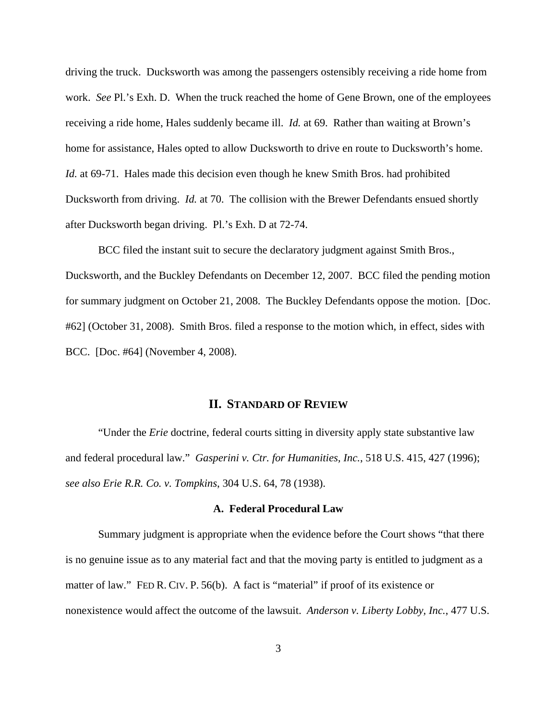driving the truck. Ducksworth was among the passengers ostensibly receiving a ride home from work. *See* Pl.'s Exh. D. When the truck reached the home of Gene Brown, one of the employees receiving a ride home, Hales suddenly became ill. *Id.* at 69. Rather than waiting at Brown's home for assistance, Hales opted to allow Ducksworth to drive en route to Ducksworth's home. *Id.* at 69-71. Hales made this decision even though he knew Smith Bros. had prohibited Ducksworth from driving. *Id.* at 70. The collision with the Brewer Defendants ensued shortly after Ducksworth began driving. Pl.'s Exh. D at 72-74.

BCC filed the instant suit to secure the declaratory judgment against Smith Bros., Ducksworth, and the Buckley Defendants on December 12, 2007. BCC filed the pending motion for summary judgment on October 21, 2008. The Buckley Defendants oppose the motion. [Doc. #62] (October 31, 2008). Smith Bros. filed a response to the motion which, in effect, sides with BCC. [Doc. #64] (November 4, 2008).

## **II. STANDARD OF REVIEW**

"Under the *Erie* doctrine, federal courts sitting in diversity apply state substantive law and federal procedural law." *Gasperini v. Ctr. for Humanities, Inc.*, 518 U.S. 415, 427 (1996); *see also Erie R.R. Co. v. Tompkins*, 304 U.S. 64, 78 (1938).

#### **A. Federal Procedural Law**

Summary judgment is appropriate when the evidence before the Court shows "that there is no genuine issue as to any material fact and that the moving party is entitled to judgment as a matter of law." FED R. CIV. P. 56(b). A fact is "material" if proof of its existence or nonexistence would affect the outcome of the lawsuit. *Anderson v. Liberty Lobby, Inc.*, 477 U.S.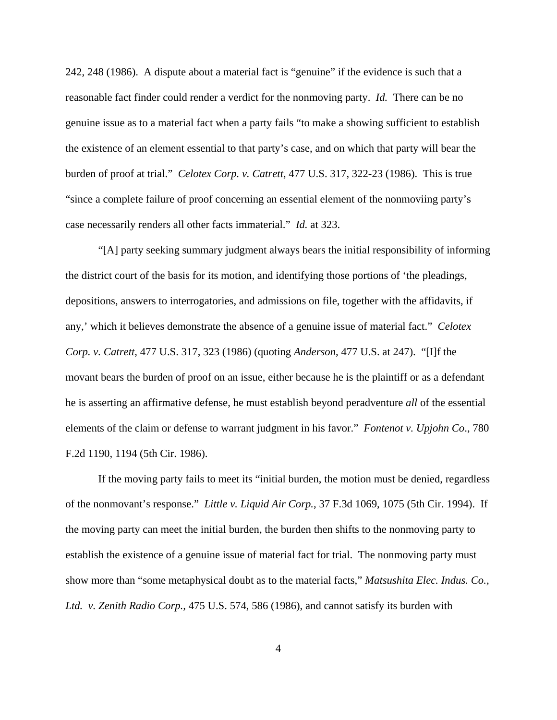242, 248 (1986). A dispute about a material fact is "genuine" if the evidence is such that a reasonable fact finder could render a verdict for the nonmoving party. *Id.* There can be no genuine issue as to a material fact when a party fails "to make a showing sufficient to establish the existence of an element essential to that party's case, and on which that party will bear the burden of proof at trial." *Celotex Corp. v. Catrett*, 477 U.S. 317, 322-23 (1986). This is true "since a complete failure of proof concerning an essential element of the nonmoviing party's case necessarily renders all other facts immaterial." *Id.* at 323.

"[A] party seeking summary judgment always bears the initial responsibility of informing the district court of the basis for its motion, and identifying those portions of 'the pleadings, depositions, answers to interrogatories, and admissions on file, together with the affidavits, if any,' which it believes demonstrate the absence of a genuine issue of material fact." *Celotex Corp. v. Catrett*, 477 U.S. 317, 323 (1986) (quoting *Anderson*, 477 U.S. at 247). "[I]f the movant bears the burden of proof on an issue, either because he is the plaintiff or as a defendant he is asserting an affirmative defense, he must establish beyond peradventure *all* of the essential elements of the claim or defense to warrant judgment in his favor." *Fontenot v. Upjohn Co*., 780 F.2d 1190, 1194 (5th Cir. 1986).

If the moving party fails to meet its "initial burden, the motion must be denied, regardless of the nonmovant's response." *Little v. Liquid Air Corp.*, 37 F.3d 1069, 1075 (5th Cir. 1994). If the moving party can meet the initial burden, the burden then shifts to the nonmoving party to establish the existence of a genuine issue of material fact for trial. The nonmoving party must show more than "some metaphysical doubt as to the material facts," *Matsushita Elec. Indus. Co., Ltd. v. Zenith Radio Corp.,* 475 U.S. 574, 586 (1986), and cannot satisfy its burden with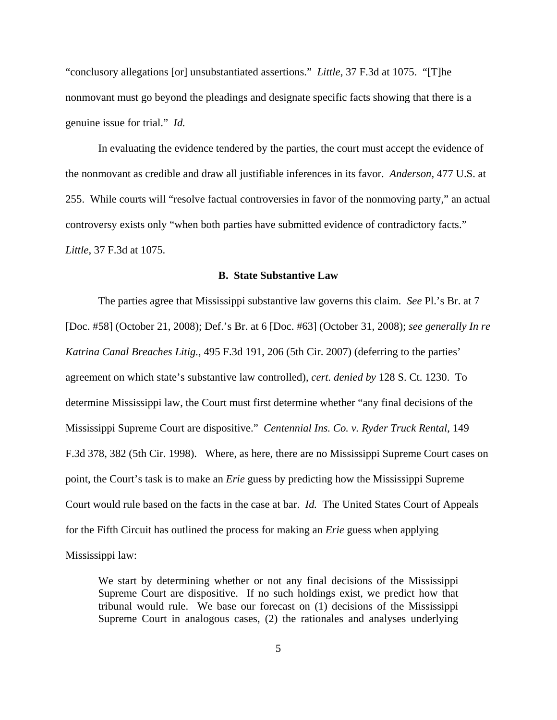"conclusory allegations [or] unsubstantiated assertions." *Little*, 37 F.3d at 1075. "[T]he nonmovant must go beyond the pleadings and designate specific facts showing that there is a genuine issue for trial." *Id.*

In evaluating the evidence tendered by the parties, the court must accept the evidence of the nonmovant as credible and draw all justifiable inferences in its favor. *Anderson,* 477 U.S. at 255. While courts will "resolve factual controversies in favor of the nonmoving party," an actual controversy exists only "when both parties have submitted evidence of contradictory facts." *Little*, 37 F.3d at 1075.

### **B. State Substantive Law**

The parties agree that Mississippi substantive law governs this claim. *See* Pl.'s Br. at 7 [Doc. #58] (October 21, 2008); Def.'s Br. at 6 [Doc. #63] (October 31, 2008); *see generally In re Katrina Canal Breaches Litig.*, 495 F.3d 191, 206 (5th Cir. 2007) (deferring to the parties' agreement on which state's substantive law controlled), *cert. denied by* 128 S. Ct. 1230. To determine Mississippi law, the Court must first determine whether "any final decisions of the Mississippi Supreme Court are dispositive." *Centennial Ins. Co. v. Ryder Truck Rental*, 149 F.3d 378, 382 (5th Cir. 1998). Where, as here, there are no Mississippi Supreme Court cases on point, the Court's task is to make an *Erie* guess by predicting how the Mississippi Supreme Court would rule based on the facts in the case at bar. *Id.* The United States Court of Appeals for the Fifth Circuit has outlined the process for making an *Erie* guess when applying Mississippi law:

We start by determining whether or not any final decisions of the Mississippi Supreme Court are dispositive. If no such holdings exist, we predict how that tribunal would rule. We base our forecast on (1) decisions of the Mississippi Supreme Court in analogous cases, (2) the rationales and analyses underlying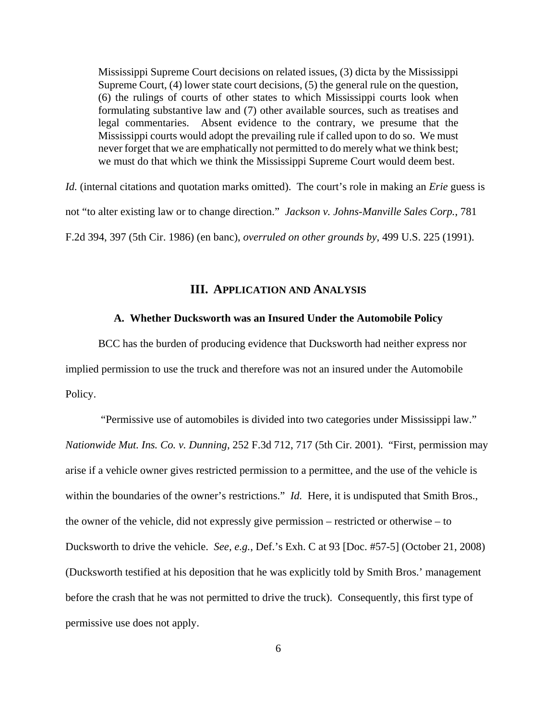Mississippi Supreme Court decisions on related issues, (3) dicta by the Mississippi Supreme Court, (4) lower state court decisions, (5) the general rule on the question, (6) the rulings of courts of other states to which Mississippi courts look when formulating substantive law and (7) other available sources, such as treatises and legal commentaries. Absent evidence to the contrary, we presume that the Mississippi courts would adopt the prevailing rule if called upon to do so. We must never forget that we are emphatically not permitted to do merely what we think best; we must do that which we think the Mississippi Supreme Court would deem best.

*Id.* (internal citations and quotation marks omitted). The court's role in making an *Erie* guess is not "to alter existing law or to change direction." *Jackson v. Johns-Manville Sales Corp.*, 781 F.2d 394, 397 (5th Cir. 1986) (en banc), *overruled on other grounds by*, 499 U.S. 225 (1991).

# **III. APPLICATION AND ANALYSIS**

### **A. Whether Ducksworth was an Insured Under the Automobile Policy**

BCC has the burden of producing evidence that Ducksworth had neither express nor implied permission to use the truck and therefore was not an insured under the Automobile Policy.

 "Permissive use of automobiles is divided into two categories under Mississippi law." *Nationwide Mut. Ins. Co. v. Dunning*, 252 F.3d 712, 717 (5th Cir. 2001). "First, permission may arise if a vehicle owner gives restricted permission to a permittee, and the use of the vehicle is within the boundaries of the owner's restrictions." *Id.* Here, it is undisputed that Smith Bros., the owner of the vehicle, did not expressly give permission – restricted or otherwise – to Ducksworth to drive the vehicle. *See, e.g.*, Def.'s Exh. C at 93 [Doc. #57-5] (October 21, 2008) (Ducksworth testified at his deposition that he was explicitly told by Smith Bros.' management before the crash that he was not permitted to drive the truck). Consequently, this first type of permissive use does not apply.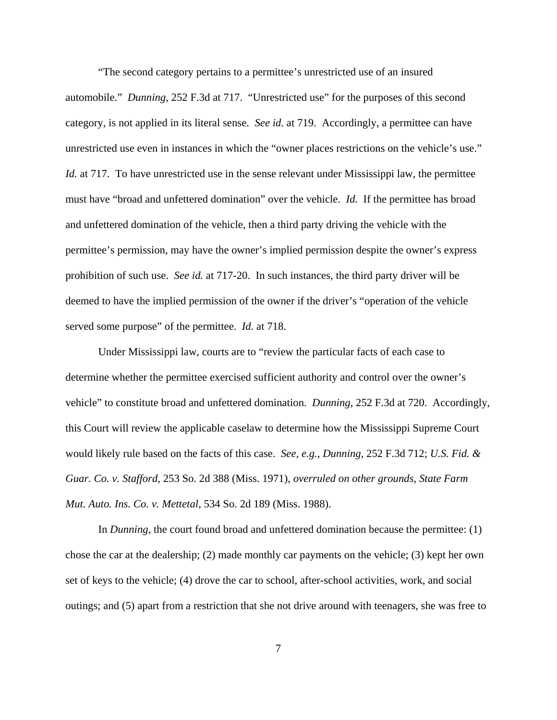"The second category pertains to a permittee's unrestricted use of an insured automobile." *Dunning*, 252 F.3d at 717. "Unrestricted use" for the purposes of this second category, is not applied in its literal sense. *See id.* at 719. Accordingly, a permittee can have unrestricted use even in instances in which the "owner places restrictions on the vehicle's use." *Id.* at 717. To have unrestricted use in the sense relevant under Mississippi law, the permittee must have "broad and unfettered domination" over the vehicle. *Id.* If the permittee has broad and unfettered domination of the vehicle, then a third party driving the vehicle with the permittee's permission, may have the owner's implied permission despite the owner's express prohibition of such use. *See id.* at 717-20. In such instances, the third party driver will be deemed to have the implied permission of the owner if the driver's "operation of the vehicle served some purpose" of the permittee. *Id.* at 718.

Under Mississippi law, courts are to "review the particular facts of each case to determine whether the permittee exercised sufficient authority and control over the owner's vehicle" to constitute broad and unfettered domination. *Dunning*, 252 F.3d at 720. Accordingly, this Court will review the applicable caselaw to determine how the Mississippi Supreme Court would likely rule based on the facts of this case. *See, e.g.*, *Dunning*, 252 F.3d 712; *U.S. Fid. & Guar. Co. v. Stafford*, 253 So. 2d 388 (Miss. 1971), *overruled on other grounds*, *State Farm Mut. Auto. Ins. Co. v. Mettetal*, 534 So. 2d 189 (Miss. 1988).

In *Dunning*, the court found broad and unfettered domination because the permittee: (1) chose the car at the dealership; (2) made monthly car payments on the vehicle; (3) kept her own set of keys to the vehicle; (4) drove the car to school, after-school activities, work, and social outings; and (5) apart from a restriction that she not drive around with teenagers, she was free to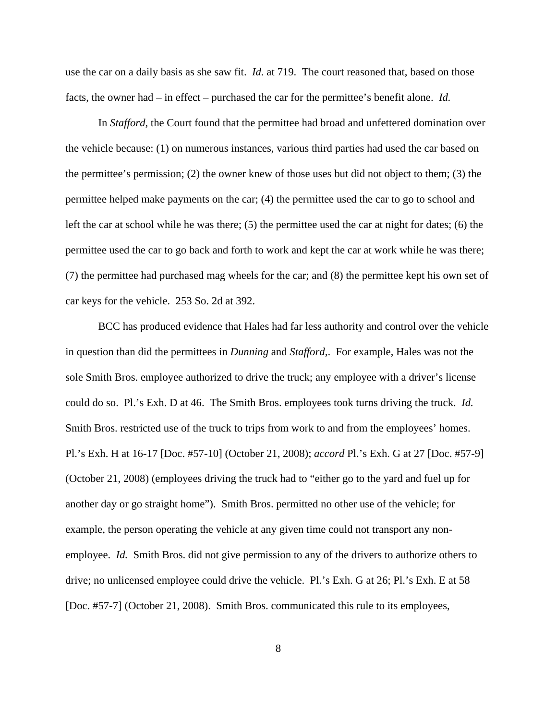use the car on a daily basis as she saw fit. *Id.* at 719. The court reasoned that, based on those facts, the owner had – in effect – purchased the car for the permittee's benefit alone. *Id.*

In *Stafford*, the Court found that the permittee had broad and unfettered domination over the vehicle because: (1) on numerous instances, various third parties had used the car based on the permittee's permission; (2) the owner knew of those uses but did not object to them; (3) the permittee helped make payments on the car; (4) the permittee used the car to go to school and left the car at school while he was there; (5) the permittee used the car at night for dates; (6) the permittee used the car to go back and forth to work and kept the car at work while he was there; (7) the permittee had purchased mag wheels for the car; and (8) the permittee kept his own set of car keys for the vehicle. 253 So. 2d at 392.

BCC has produced evidence that Hales had far less authority and control over the vehicle in question than did the permittees in *Dunning* and *Stafford*,. For example, Hales was not the sole Smith Bros. employee authorized to drive the truck; any employee with a driver's license could do so. Pl.'s Exh. D at 46. The Smith Bros. employees took turns driving the truck. *Id.*  Smith Bros. restricted use of the truck to trips from work to and from the employees' homes. Pl.'s Exh. H at 16-17 [Doc. #57-10] (October 21, 2008); *accord* Pl.'s Exh. G at 27 [Doc. #57-9] (October 21, 2008) (employees driving the truck had to "either go to the yard and fuel up for another day or go straight home"). Smith Bros. permitted no other use of the vehicle; for example, the person operating the vehicle at any given time could not transport any nonemployee. *Id.* Smith Bros. did not give permission to any of the drivers to authorize others to drive; no unlicensed employee could drive the vehicle. Pl.'s Exh. G at 26; Pl.'s Exh. E at 58 [Doc. #57-7] (October 21, 2008). Smith Bros. communicated this rule to its employees,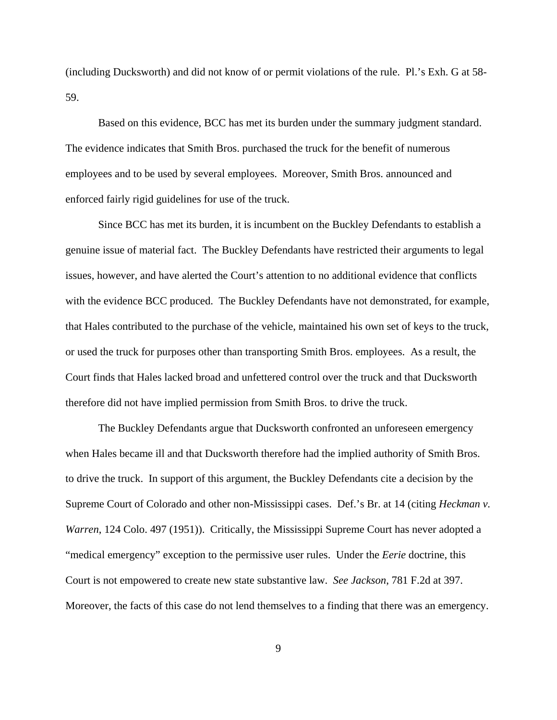(including Ducksworth) and did not know of or permit violations of the rule. Pl.'s Exh. G at 58- 59.

Based on this evidence, BCC has met its burden under the summary judgment standard. The evidence indicates that Smith Bros. purchased the truck for the benefit of numerous employees and to be used by several employees. Moreover, Smith Bros. announced and enforced fairly rigid guidelines for use of the truck.

Since BCC has met its burden, it is incumbent on the Buckley Defendants to establish a genuine issue of material fact. The Buckley Defendants have restricted their arguments to legal issues, however, and have alerted the Court's attention to no additional evidence that conflicts with the evidence BCC produced. The Buckley Defendants have not demonstrated, for example, that Hales contributed to the purchase of the vehicle, maintained his own set of keys to the truck, or used the truck for purposes other than transporting Smith Bros. employees. As a result, the Court finds that Hales lacked broad and unfettered control over the truck and that Ducksworth therefore did not have implied permission from Smith Bros. to drive the truck.

The Buckley Defendants argue that Ducksworth confronted an unforeseen emergency when Hales became ill and that Ducksworth therefore had the implied authority of Smith Bros. to drive the truck. In support of this argument, the Buckley Defendants cite a decision by the Supreme Court of Colorado and other non-Mississippi cases. Def.'s Br. at 14 (citing *Heckman v. Warren*, 124 Colo. 497 (1951)). Critically, the Mississippi Supreme Court has never adopted a "medical emergency" exception to the permissive user rules. Under the *Eerie* doctrine, this Court is not empowered to create new state substantive law. *See Jackson*, 781 F.2d at 397. Moreover, the facts of this case do not lend themselves to a finding that there was an emergency.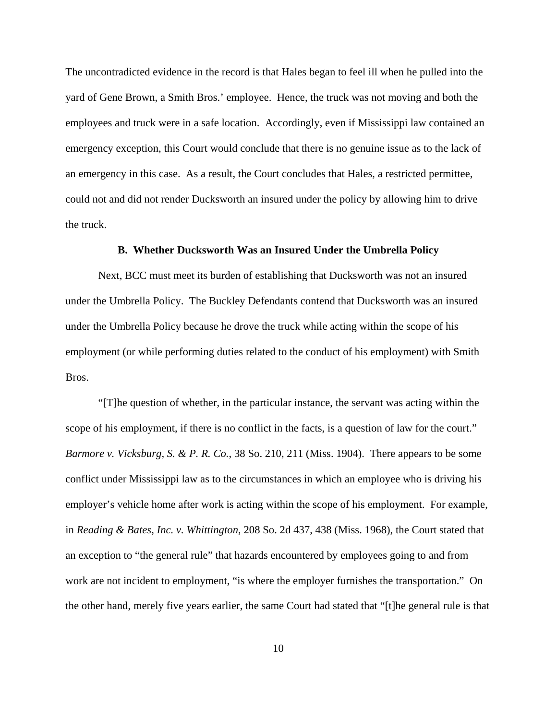The uncontradicted evidence in the record is that Hales began to feel ill when he pulled into the yard of Gene Brown, a Smith Bros.' employee. Hence, the truck was not moving and both the employees and truck were in a safe location. Accordingly, even if Mississippi law contained an emergency exception, this Court would conclude that there is no genuine issue as to the lack of an emergency in this case. As a result, the Court concludes that Hales, a restricted permittee, could not and did not render Ducksworth an insured under the policy by allowing him to drive the truck.

## **B. Whether Ducksworth Was an Insured Under the Umbrella Policy**

Next, BCC must meet its burden of establishing that Ducksworth was not an insured under the Umbrella Policy. The Buckley Defendants contend that Ducksworth was an insured under the Umbrella Policy because he drove the truck while acting within the scope of his employment (or while performing duties related to the conduct of his employment) with Smith Bros.

"[T]he question of whether, in the particular instance, the servant was acting within the scope of his employment, if there is no conflict in the facts, is a question of law for the court." *Barmore v. Vicksburg, S. & P. R. Co.*, 38 So. 210, 211 (Miss. 1904). There appears to be some conflict under Mississippi law as to the circumstances in which an employee who is driving his employer's vehicle home after work is acting within the scope of his employment. For example, in *Reading & Bates, Inc. v. Whittington*, 208 So. 2d 437, 438 (Miss. 1968), the Court stated that an exception to "the general rule" that hazards encountered by employees going to and from work are not incident to employment, "is where the employer furnishes the transportation." On the other hand, merely five years earlier, the same Court had stated that "[t]he general rule is that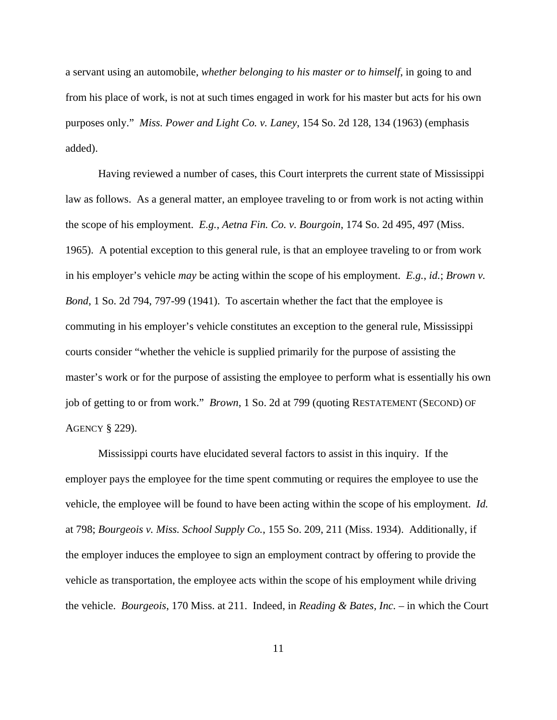a servant using an automobile, *whether belonging to his master or to himself*, in going to and from his place of work, is not at such times engaged in work for his master but acts for his own purposes only." *Miss. Power and Light Co. v. Laney*, 154 So. 2d 128, 134 (1963) (emphasis added).

Having reviewed a number of cases, this Court interprets the current state of Mississippi law as follows. As a general matter, an employee traveling to or from work is not acting within the scope of his employment. *E.g.*, *Aetna Fin. Co. v. Bourgoin*, 174 So. 2d 495, 497 (Miss. 1965). A potential exception to this general rule, is that an employee traveling to or from work in his employer's vehicle *may* be acting within the scope of his employment. *E.g.*, *id.*; *Brown v. Bond*, 1 So. 2d 794, 797-99 (1941). To ascertain whether the fact that the employee is commuting in his employer's vehicle constitutes an exception to the general rule, Mississippi courts consider "whether the vehicle is supplied primarily for the purpose of assisting the master's work or for the purpose of assisting the employee to perform what is essentially his own job of getting to or from work." *Brown*, 1 So. 2d at 799 (quoting RESTATEMENT (SECOND) OF AGENCY § 229).

Mississippi courts have elucidated several factors to assist in this inquiry. If the employer pays the employee for the time spent commuting or requires the employee to use the vehicle, the employee will be found to have been acting within the scope of his employment. *Id.* at 798; *Bourgeois v. Miss. School Supply Co.*, 155 So. 209, 211 (Miss. 1934). Additionally, if the employer induces the employee to sign an employment contract by offering to provide the vehicle as transportation, the employee acts within the scope of his employment while driving the vehicle. *Bourgeois*, 170 Miss. at 211. Indeed, in *Reading & Bates, Inc.* – in which the Court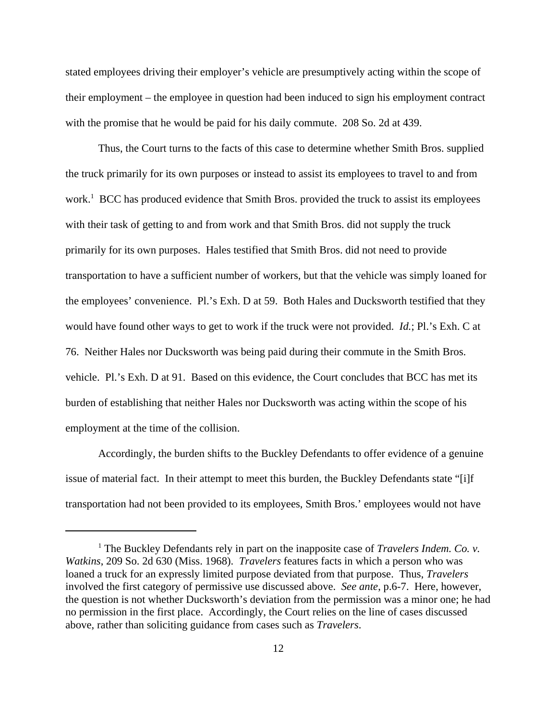stated employees driving their employer's vehicle are presumptively acting within the scope of their employment – the employee in question had been induced to sign his employment contract with the promise that he would be paid for his daily commute. 208 So. 2d at 439.

Thus, the Court turns to the facts of this case to determine whether Smith Bros. supplied the truck primarily for its own purposes or instead to assist its employees to travel to and from work.<sup>1</sup> BCC has produced evidence that Smith Bros. provided the truck to assist its employees with their task of getting to and from work and that Smith Bros. did not supply the truck primarily for its own purposes. Hales testified that Smith Bros. did not need to provide transportation to have a sufficient number of workers, but that the vehicle was simply loaned for the employees' convenience. Pl.'s Exh. D at 59. Both Hales and Ducksworth testified that they would have found other ways to get to work if the truck were not provided. *Id.*; Pl.'s Exh. C at 76. Neither Hales nor Ducksworth was being paid during their commute in the Smith Bros. vehicle. Pl.'s Exh. D at 91. Based on this evidence, the Court concludes that BCC has met its burden of establishing that neither Hales nor Ducksworth was acting within the scope of his employment at the time of the collision.

Accordingly, the burden shifts to the Buckley Defendants to offer evidence of a genuine issue of material fact. In their attempt to meet this burden, the Buckley Defendants state "[i]f transportation had not been provided to its employees, Smith Bros.' employees would not have

<sup>&</sup>lt;sup>1</sup> The Buckley Defendants rely in part on the inapposite case of *Travelers Indem. Co. v. Watkins*, 209 So. 2d 630 (Miss. 1968). *Travelers* features facts in which a person who was loaned a truck for an expressly limited purpose deviated from that purpose. Thus, *Travelers* involved the first category of permissive use discussed above. *See ante*, p.6-7. Here, however, the question is not whether Ducksworth's deviation from the permission was a minor one; he had no permission in the first place. Accordingly, the Court relies on the line of cases discussed above, rather than soliciting guidance from cases such as *Travelers*.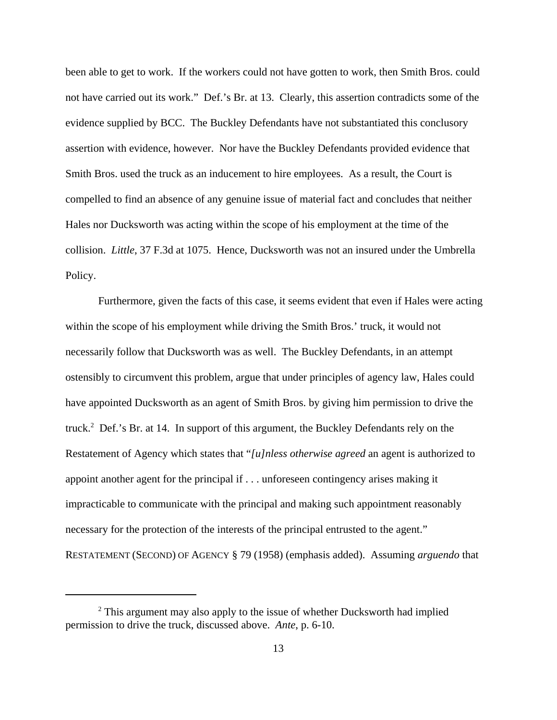been able to get to work. If the workers could not have gotten to work, then Smith Bros. could not have carried out its work." Def.'s Br. at 13. Clearly, this assertion contradicts some of the evidence supplied by BCC. The Buckley Defendants have not substantiated this conclusory assertion with evidence, however. Nor have the Buckley Defendants provided evidence that Smith Bros. used the truck as an inducement to hire employees. As a result, the Court is compelled to find an absence of any genuine issue of material fact and concludes that neither Hales nor Ducksworth was acting within the scope of his employment at the time of the collision. *Little*, 37 F.3d at 1075. Hence, Ducksworth was not an insured under the Umbrella Policy.

Furthermore, given the facts of this case, it seems evident that even if Hales were acting within the scope of his employment while driving the Smith Bros.' truck, it would not necessarily follow that Ducksworth was as well. The Buckley Defendants, in an attempt ostensibly to circumvent this problem, argue that under principles of agency law, Hales could have appointed Ducksworth as an agent of Smith Bros. by giving him permission to drive the truck.<sup>2</sup> Def.'s Br. at 14. In support of this argument, the Buckley Defendants rely on the Restatement of Agency which states that "*[u]nless otherwise agreed* an agent is authorized to appoint another agent for the principal if . . . unforeseen contingency arises making it impracticable to communicate with the principal and making such appointment reasonably necessary for the protection of the interests of the principal entrusted to the agent." RESTATEMENT (SECOND) OF AGENCY § 79 (1958) (emphasis added). Assuming *arguendo* that

<sup>&</sup>lt;sup>2</sup> This argument may also apply to the issue of whether Ducksworth had implied permission to drive the truck, discussed above. *Ante*, p. 6-10.